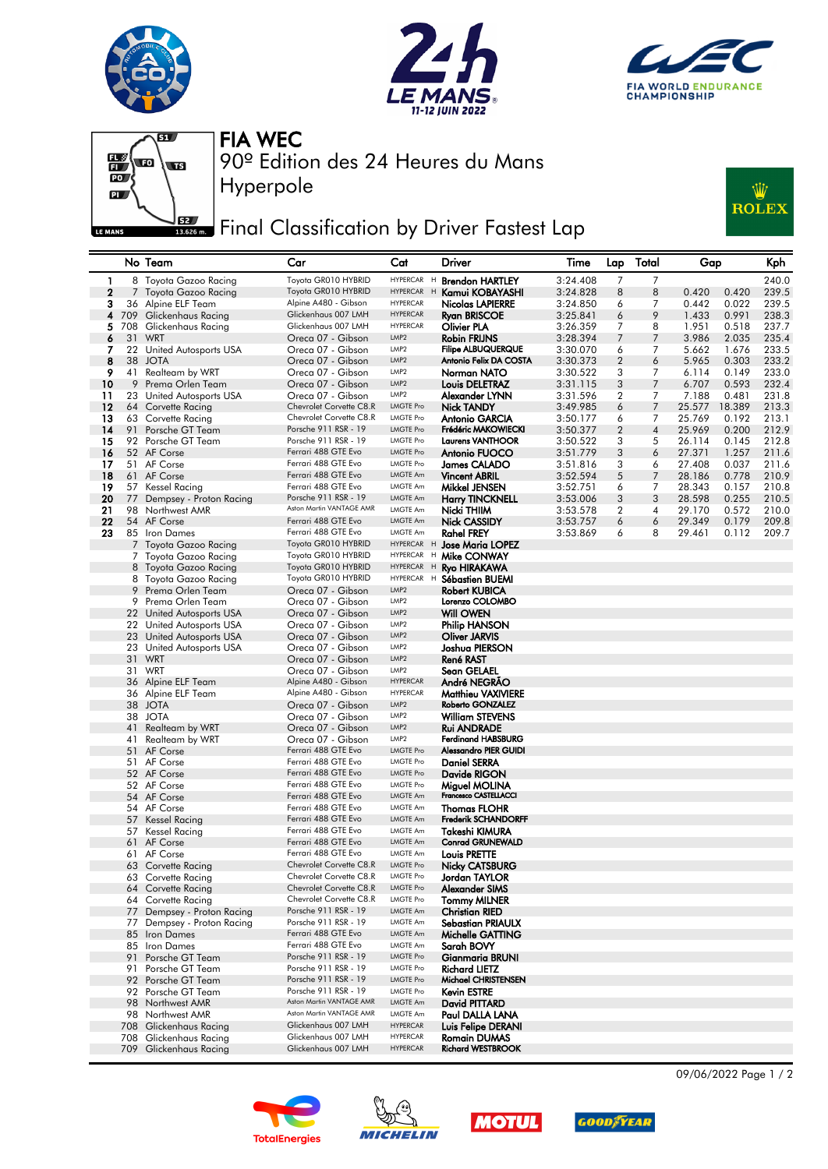







Hyperpole

FIA WEC

90º Edition des 24 Heures du Mans

## Final Classification by Driver Fastest Lap



## No Team Car Cat Driver Time Lap Total Gap Kph 1 8 Toyota Gazoo Racing Toyota GR010 HYBRID HYPERCAR H **Brendon HARTLEY** 3:24.408 7 7 240.0<br>2 7 Toyota Gazoo Racing Toyota GR010 HYBRID HYPERCAR H **Kamui KOBAYASHI** 3:24.828 8 8 0.420 0.420 239.5 Toyota Gazoo Racing Toyota GR010 HYBRID HYPERCAR H **Kamui KOBAYASI** 3:24.828 8 8 8 Alpine A480 - Gibson HYPERCAR **Nicolas LAPIERRE** 3 36 Alpine ELF Team Alpine A480 - Gibson HYPERCAR Nicolas LAPIERRE 3:24.850 6 7 0.442 0.022 239.5 4 709 Glickenhaus Racing Glickenhaus 007 LMH HYPERCAR Ryan BRISCOE 3:25.841 6 9 1.433 0.991 238.3 5 708 Glickenhaus Racing Glickenhaus 007 LMH HYPERCAR Olivier PLA 3:26.359 7 8 1.951 0.518 237.7 6 31 WRT Oreca 07 - Gibson LMP2 Robin FRIJNS 3:28.394 7 7 3.986 2.035 235.4 7 22 United Autosports USA Oreca 07 - Gibson LMP2 Filipe ALBUQUERQUE 3:30.070 6 7 5.662 1.676 233.5 8 38 JOTA Oreca 07 - Gibson LMP2 Antonio Felix DA COSTA 3:30.373 2 6 5.965 0.303 233.2 9 41 Realteam by WRT Creca 07 - Gibson LMP2 **Norman NATO** 3:30.522 3 7 6.114 0.149 233.0<br>9 Prema Orlea Team Creca 07 Gibson LMP2 **Lauje DELETRAZ** 3:31.115 3 7 6.707 0.593 232.4 10 9 Prema Orlen Team Oreca 07 - Gibson LMP2 Louis DELETRAZ 3:31.115 3 7 6.707 0.593 232.4 11 23 United Autosports USA Oreca 07 - Gibson LMP2 Alexander LYNN 3:31.596 2 7 7.188 0.481 231.8 12 64 Corvette Racing Chevrolet Corvette C8.R LMGTE Pro **Nick TANDY** 3:49.985 6 7 25.577 18.389 213.3<br>13 63 Corvette Racing Chevrolet Corvette C8.R LMGTE Pro **Antonio GARCIA** 3:50 177 6 7 25.769 0.192 213.1 13 63 Corvette Racing Chevrolet Corvette C8.R LMGTE Pro **Antonio GARCIA** 3:50.177 6 7 25.769 0.192 213.1<br>14 91 Porsche GT Team Porsche 911 RSR - 19 LMGTE Pro Fr**édéric MAKOWIECKI** 3:50.377 2 4 25.969 0.200 212.9<br>15 92 Pors 14 91 Porsche GT Team Porsche 911 RSR - 19 LMGTE Pro Frédéric MAKOWIECKI 3:50.377 2 4 25.969 0.200 212.9<br>14 92 Porsche GT Team Porsche 911 RSR - 19 LMGTE Pro Laurens VANTHOOR 3:50.377 2 4 25.969 0.200 212.9 15 92 Porsche GT Team Porsche 911 RSR - 19 LMGTE Pro Laurens VANTHOOR 3:50.522 3 5 26.114 0.145<br>15 92 AF Corse Ferrari 488 GTE Evo LMGTE Pro Antonio FUOCO 3:51.779 3 6 27.371 1.257 **16** 52 AF Corse **Ferrari 488 GTE Evo** LMGTE Pro **Antonio FUOCO** 3:51.779 3 6 27.371 1.257 211.6 17 51 AF Corse **Ferrari 488 GTE Evo** LMGTE Pro James CALADO 3:51.816 3 6 27.408 0.037 211.6 **18** 61 AF Corse **Ferrari 488 GTE Evo** LMGTE Am **Vincent ABRIL** 3:52.594 5 7 28.186 0.778 210.9 19 57 Kessel Racing Ferrari 488 GTE Evo LMGTE Am **Mikkel JENSEN** 3:52.751 6 7 28.343 0.157 210.8 20 77 Dempsey - Proton Racing Porsche 911 RSR - 19 LMGTE Am Harry TINCKNELL 3:53.006 3 3 28.598 0.255 210.5<br>21 98 Northwest AMR Aston Martin VANTAGE AMR LMGTE Am N**icki THIIM** 3:53.578 2 4 29.170 0.572 210.0 98 Northwest AMR 21 Aston Martin VANTAGE AMR LMGTE Am Nicki THIIM 3:53.578 2 4 29.170 0.572 210.0 22 54 AF Corse Ferrari 488 GTE Evo LMGTE Am **Nick CASSIDY** 3:53.757 6 6 29.349 0.179 209.8 23 85 Iron Dames Ferrari 488 GTE Evo LMGTE Am Rahel FREY 3:53.869 6 8 29.461 0.112 209.7 7 Toyota Gazoo Racing Toyota GR010 HYBRID<br>7 Toyota Gazoo Racina Toyota GR010 HYBRID 7 Toyota Gazoo Racing Toyota GR010 HYBRID HYPERCAR H **Mike CONWAY**<br>8 Toyota Gazoo Racing Toyota GR010 HYBRID HYPERCAR H **Rvo HIRAKAWA** 8 Toyota Gazoo Racing Toyota GR010 HYBRID HYPERCAR H Ryo HIRAKAWA<br>8 Toyota Gazoo Racing Toyota GR010 HYBRID HYPERCAR H Sébastien BLIFA 8 Toyota Gazoo Racing Toyota GR010 HYBRID HYPERCAR H Sébastien BUEMI 9 Prema Orlen Team Creca 07 - Gibson LMP2 9 Prema Orlen Team Oreca 07 - Gibson LMP2 Lorenzo COLOMBO 22 United Autosports USA Oreca 07 - Gibson LMP2 **Will OWEN**<br>22 United Autosports USA Oreca 07 - Gibson LMP2 **Philip HANSON** 22 United Autosports USA Oreca 07 - Gibson LMP2 Philip HANSC<br>23 United Autosports USA Oreca 07 - Gibson LMP2 Oliver JARVIS 23 United Autosports USA Oreca 07 - Gibson LMP2 **Oliver JARVIS**<br>23 United Autosports USA Oreca 07 - Gibson LMP2 **Joshua PIERSON** 23 United Autosports USA Oreca 07 - Gibson LMP2 **Joshua PIE**<br>21 WRT Oreca 07 - Gibson LMP2 **René RAST** 31 WRT Oreca 07 - Gibson LMP2 René RAST Oreca 07 - Gibson LMP2 Sean GELAEL<br>Alpine A480 - Gibson HYPERCAR André NEGRÃO 36 Alpine ELF Team Alpine A480 - Gibson HYPERCAR André NEGRÃO 36 Alpine ELF Team Alpine A480 - Gibson HYPERCAR Matthieu VAXIVIERE 38 JOTA Oreca 07 - Gibson LMP2 Roberto GONZALEZ 38 Oreca 07 - Gibson LMP2 **William STEVE**<br>1988 - Gibson LMP2 **Rui ANDRADE** 41 Realteam by WRT Oreca 07 - Gibson LMP2<br>41 Realteam by WRT Oreca 07 - Gibson LMP2 41 Realteam by WRT Oreca 07 - Gibson LMP2 Ferdinand HABSBURG 51 AF Corse **Ferrari 488 GTE Evo** LMGTE Pro **Alessandro PIER GUIDI**<br>51 AF Corse **Ferrari 488 GTE Evo** LMGTE Pro **Doniel SFRRA** 51 AF Corse Ferrari 488 GTE Evo LMGTE Pro Daniel SERRA 52 AF Corse Ferrari 488 GTE Evo LMGTE Pro **Davide RIGON** 52 AF Corse **Ferrari 488 GTE Evo** LINGTE Pro **Miguel MOLINA** 54 AF Corse **Ferrari 488 GTE Evo** LMGTE Am Francesco CASTELLACCI 54 AF Corse **Frankling Corporation** Ferrari 488 GTE Evo LMGTE Am **Thomas FLOHR**<br>57 Kessel Racing **Frankling Ferrari 488 GTE Evo** LMGTE Am **Frederik SCHAND** 57 Kessel Racing **Ferrari 488 GTE Evo** LMGTE Am Frederik SCHANDORFF<br>57 Kessel Racing **Ferrari 488 GTE Evo** LMGTE Am **Takeshi KIMURA** 57 Kessel Racing Ferrari 488 GTE Evo LMGTE Am Conserved Bacing Ferrari 488 GTE Evo LMGTE Am SAFE Am Takeshi KIMURA AF Corse **Ferrari 488 GTE Evo** LMGTE Am Conrad GRUNEWALD<br>AF Corse Ferrari 488 GTE Evo LMGTE Am Louis PRETTE 61 AF Corse Ferrari 488 GTE Evo LMGTE Am Louis PRETTE 63 Corvette Racing Chevrolet Corvette C8.R LMGTE Pro **Nicky CATSBUR**<br>63 Corvette Racing Chevrolet Corvette C8.R LMGTE Pro **Jordan TAYLOR** Chevrolet Corvette C8.R LMGTE Pro Jordan TAYLOR<br>Chevrolet Corvette C8.R LMGTE Pro Alexander SIMS 64 Corvette Racing Chevrolet Corvette C8.R LMGTE Pro Alexander SIMS<br>64 Corvette Racing Chevrolet Corvette C8.R LMGTE Pro Tommy MILNER 64 Corvette Racing **Chevrolet Corvette C8.R LMGTE Pro Tommy MILNE**<br>77 Dempsey - Proton Racing Porsche 911 RSR - 19 LMGTE Am Christian RIED 77 Dempsey - Proton Racing Porsche 911 RSR - 19 LMGTE Am Christian RIED<br>77 Dempsey - Proton Racing Porsche 911 RSR - 19 LMGTE Am Sebastian PRIAULX 77 Dempsey - Proton Racing Porsche 911 RSR - 19 LMGTE Am Sepan Proton Racing Prorsche 911 RSR - 19 LMGTE Am Se 85 Iron Dames **Ferrari 488 GTE Evo** LMGTE Am **Michelle GATTING**<br>85 Iron Dames Ferrari 488 GTE Evo LMGTE Am **Sarah BOVY** Iron Dames Ferrari 488 GTE Evo LMGTE Am Sarah BOVY<br>Porsche GT Team Porsche 911 RSR - 19 LMGTE Pro Gianmaria BRUNI 91 Porsche GT Team Porsche 911 RSR - 19 LMGTE Pro **Gianmaria BR**<br>91 Porsche GT Team Porsche 911 RSR - 19 LMGTE Pro **Richard LIETZ** Porsche GT Team Porsche 911 RSR - 19 LMGTE Pro **Richard LIETZ**<br>Porsche GT Team Porsche 911 RSR - 19 LMGTE Pro **Michael CHRISTENSEN** 92 Porsche GT Team Porsche 911 RSR - 19<br>92 Porsche GT Team Porsche 911 RSR - 19 92 Porsche GT Team Porsche 911 RSR - 19 LMGTE Pro Kevin ESTRE 98 Northwest AMR Aston Martin VANTAGE AMR LINGTE Am DAVID ASTON Martin VANTAGE AMR LINGTE Am DAVID AM DAVID A 98 Northwest AMR **Aston Martin VANTAGE AMR** LMGTE Am Paul DALLA LANA 708 Glickenhaus Racing Glickenhaus 007 LMH HYPERCAR Luis Felipe DERANI 708 Glickenhaus Racing Glickenhaus 007 LMH HYPERCAR **Romain DUMAS**<br>709 Glickenhaus Racing Glickenhaus 007 LMH HYPERCAR **Richard WESTBROOK** 709 Glickenhaus Racing